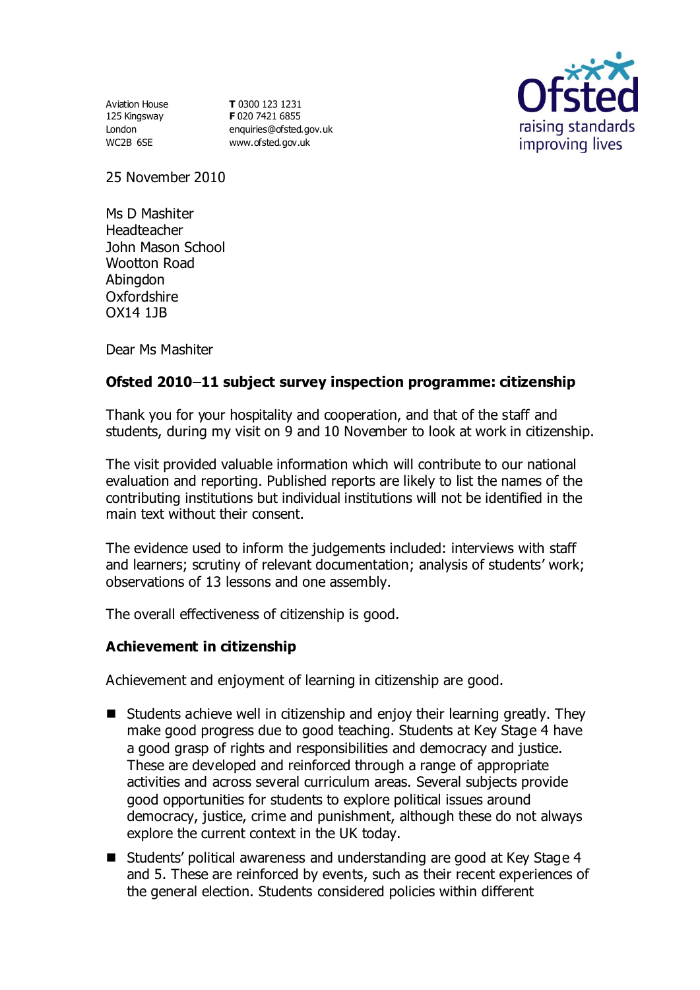Aviation House 125 Kingsway London WC2B 6SE

**T** 0300 123 1231 **F** 020 7421 6855 [enquiries@ofsted.gov.uk](mailto:enquiries@ofsted.gov.uk) [www.ofsted.gov.uk](http://www.ofsted.gov.uk/)



25 November 2010

Ms D Mashiter Headteacher John Mason School Wootton Road Abingdon Oxfordshire OX14 1JB

Dear Ms Mashiter

# **Ofsted 2010 11 subject survey inspection programme: citizenship**

Thank you for your hospitality and cooperation, and that of the staff and students, during my visit on 9 and 10 November to look at work in citizenship.

The visit provided valuable information which will contribute to our national evaluation and reporting. Published reports are likely to list the names of the contributing institutions but individual institutions will not be identified in the main text without their consent.

The evidence used to inform the judgements included: interviews with staff and learners; scrutiny of relevant documentation; analysis of students' work; observations of 13 lessons and one assembly.

The overall effectiveness of citizenship is good.

## **Achievement in citizenship**

Achievement and enjoyment of learning in citizenship are good.

- Students achieve well in citizenship and enjoy their learning greatly. They make good progress due to good teaching. Students at Key Stage 4 have a good grasp of rights and responsibilities and democracy and justice. These are developed and reinforced through a range of appropriate activities and across several curriculum areas. Several subjects provide good opportunities for students to explore political issues around democracy, justice, crime and punishment, although these do not always explore the current context in the UK today.
- Students' political awareness and understanding are good at Key Stage 4 and 5. These are reinforced by events, such as their recent experiences of the general election. Students considered policies within different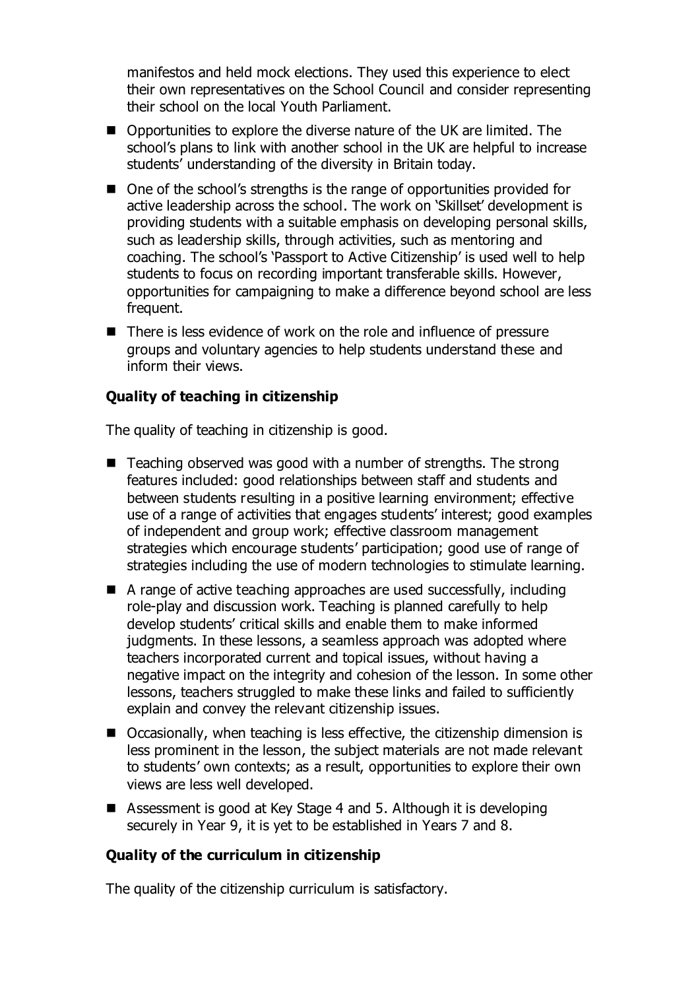manifestos and held mock elections. They used this experience to elect their own representatives on the School Council and consider representing their school on the local Youth Parliament.

- Opportunities to explore the diverse nature of the UK are limited. The school's plans to link with another school in the UK are helpful to increase students' understanding of the diversity in Britain today.
- One of the school's strengths is the range of opportunities provided for active leadership across the school. The work on 'Skillset' development is providing students with a suitable emphasis on developing personal skills, such as leadership skills, through activities, such as mentoring and coaching. The school's 'Passport to Active Citizenship' is used well to help students to focus on recording important transferable skills. However, opportunities for campaigning to make a difference beyond school are less frequent.
- There is less evidence of work on the role and influence of pressure groups and voluntary agencies to help students understand these and inform their views.

## **Quality of teaching in citizenship**

The quality of teaching in citizenship is good.

- Teaching observed was good with a number of strengths. The strong features included: good relationships between staff and students and between students resulting in a positive learning environment; effective use of a range of activities that engages students' interest; good examples of independent and group work; effective classroom management strategies which encourage students' participation; good use of range of strategies including the use of modern technologies to stimulate learning.
- A range of active teaching approaches are used successfully, including role-play and discussion work. Teaching is planned carefully to help develop students' critical skills and enable them to make informed judgments. In these lessons, a seamless approach was adopted where teachers incorporated current and topical issues, without having a negative impact on the integrity and cohesion of the lesson. In some other lessons, teachers struggled to make these links and failed to sufficiently explain and convey the relevant citizenship issues.
- Occasionally, when teaching is less effective, the citizenship dimension is less prominent in the lesson, the subject materials are not made relevant to students' own contexts; as a result, opportunities to explore their own views are less well developed.
- Assessment is good at Key Stage 4 and 5. Although it is developing securely in Year 9, it is yet to be established in Years 7 and 8.

## **Quality of the curriculum in citizenship**

The quality of the citizenship curriculum is satisfactory.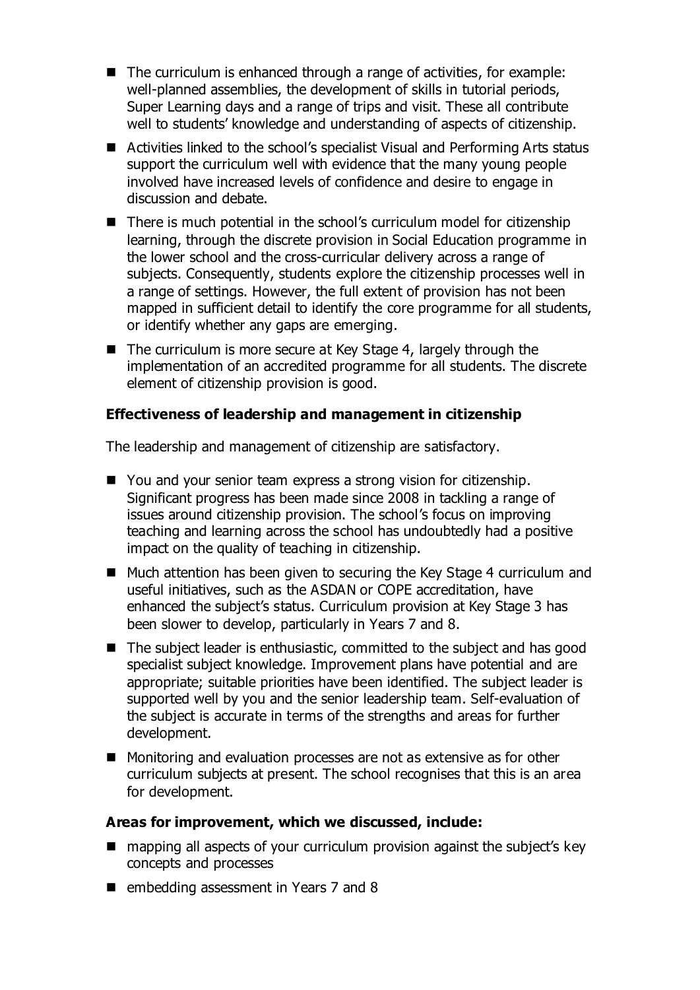- The curriculum is enhanced through a range of activities, for example: well-planned assemblies, the development of skills in tutorial periods, Super Learning days and a range of trips and visit. These all contribute well to students' knowledge and understanding of aspects of citizenship.
- Activities linked to the school's specialist Visual and Performing Arts status support the curriculum well with evidence that the many young people involved have increased levels of confidence and desire to engage in discussion and debate.
- There is much potential in the school's curriculum model for citizenship learning, through the discrete provision in Social Education programme in the lower school and the cross-curricular delivery across a range of subjects. Consequently, students explore the citizenship processes well in a range of settings. However, the full extent of provision has not been mapped in sufficient detail to identify the core programme for all students, or identify whether any gaps are emerging.
- The curriculum is more secure at Key Stage 4, largely through the implementation of an accredited programme for all students. The discrete element of citizenship provision is good.

## **Effectiveness of leadership and management in citizenship**

The leadership and management of citizenship are satisfactory.

- You and your senior team express a strong vision for citizenship. Significant progress has been made since 2008 in tackling a range of issues around citizenship provision. The school's focus on improving teaching and learning across the school has undoubtedly had a positive impact on the quality of teaching in citizenship.
- Much attention has been given to securing the Key Stage 4 curriculum and useful initiatives, such as the ASDAN or COPE accreditation, have enhanced the subject's status. Curriculum provision at Key Stage 3 has been slower to develop, particularly in Years 7 and 8.
- The subject leader is enthusiastic, committed to the subject and has good specialist subject knowledge. Improvement plans have potential and are appropriate; suitable priorities have been identified. The subject leader is supported well by you and the senior leadership team. Self-evaluation of the subject is accurate in terms of the strengths and areas for further development.
- Monitoring and evaluation processes are not as extensive as for other curriculum subjects at present. The school recognises that this is an area for development.

### **Areas for improvement, which we discussed, include:**

- mapping all aspects of your curriculum provision against the subject's key concepts and processes
- **E** embedding assessment in Years 7 and 8